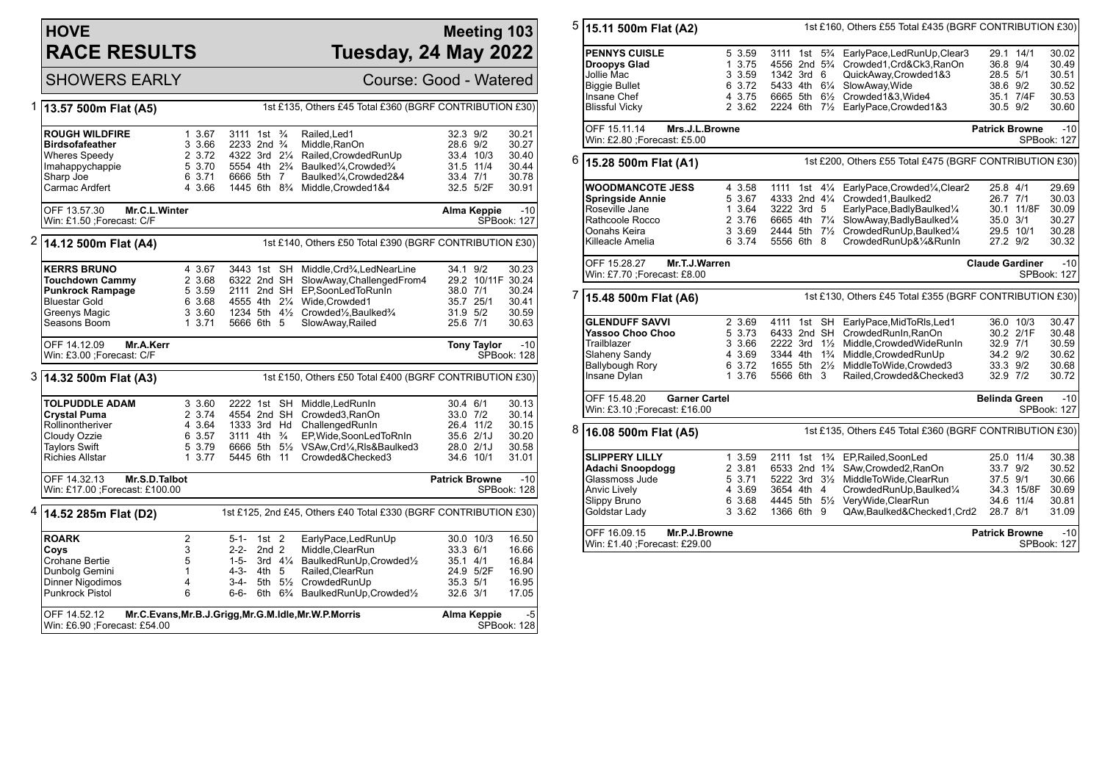## **HOVE RACE RESULTS**

## **Meeting 103 Tuesday, 24 May 2022**

SHOWERS EARLY Course: Good - Watered

| 1 | 13.57 500m Flat (A5)                                             |              |                                        |                  |    | 1st £135, Others £45 Total £360 (BGRF CONTRIBUTION £30)                                             |                       |                    |                             |
|---|------------------------------------------------------------------|--------------|----------------------------------------|------------------|----|-----------------------------------------------------------------------------------------------------|-----------------------|--------------------|-----------------------------|
|   | <b>ROUGH WILDFIRE</b>                                            | 1 3.67       | 3111 1st 3/4                           |                  |    | Railed, Led1                                                                                        | 32.3 9/2              |                    | 30.21                       |
|   | <b>Birdsofafeather</b>                                           | 3 3.66       | 2233 2nd <sup>3</sup> / <sub>4</sub>   |                  |    | Middle.RanOn                                                                                        | 28.6 9/2              |                    | 30.27                       |
|   | <b>Wheres Speedy</b>                                             | 2 3.72       | 4322 3rd 21/4                          |                  |    | Railed, Crowded RunUp                                                                               |                       | 33.4 10/3          | 30.40                       |
|   | Imahappychappie                                                  | 5 3.70       | 5554 4th 2 <sup>3</sup> / <sub>4</sub> |                  |    | Baulked1/4, Crowded3/4                                                                              |                       | 31.5 11/4          | 30.44                       |
|   | Sharp Joe                                                        | 6 3.71       | 6666 5th 7                             |                  |    | Baulked <sup>1</sup> / <sub>4</sub> , Crowded 2&4                                                   | 33.4 7/1              |                    | 30.78                       |
|   | Carmac Ardfert                                                   | 4 3.66       | 1445 6th 8 <sup>3</sup> / <sub>4</sub> |                  |    | Middle, Crowded1&4                                                                                  |                       | 32.5 5/2F          | 30.91                       |
|   |                                                                  |              |                                        |                  |    |                                                                                                     |                       |                    |                             |
|   | OFF 13.57.30<br>Mr.C.L.Winter                                    |              |                                        |                  |    |                                                                                                     |                       | Alma Keppie        | $-10$                       |
|   | Win: £1.50 ;Forecast: C/F                                        |              |                                        |                  |    |                                                                                                     |                       |                    | <b>SPBook: 127</b>          |
| 2 | 14.12 500m Flat (A4)                                             |              |                                        |                  |    | 1st £140, Others £50 Total £390 (BGRF CONTRIBUTION £30)                                             |                       |                    |                             |
|   | <b>KERRS BRUNO</b>                                               | 4 3.67       |                                        |                  |    | 3443 1st SH Middle.Crd3/4.LedNearLine                                                               | 34.1 9/2              |                    | 30.23                       |
|   | <b>Touchdown Cammy</b>                                           | 2 3.68       | 6322 2nd SH                            |                  |    | SlowAway, Challenged From 4                                                                         |                       | 29.2 10/11F 30.24  |                             |
|   | <b>Punkrock Rampage</b>                                          | 5 3.59       | 2111 2nd SH                            |                  |    | EP,SoonLedToRunIn                                                                                   | 38.0 7/1              |                    | 30.24                       |
|   | <b>Bluestar Gold</b>                                             | 6 3.68       | 4555 4th 21/4                          |                  |    | Wide, Crowded1                                                                                      |                       | 35.7 25/1          | 30.41                       |
|   | Greenys Magic                                                    | 3 3.60       |                                        |                  |    | 1234 5th 41/ <sub>2</sub> Crowded <sup>1</sup> / <sub>2</sub> , Baulked <sup>3</sup> / <sub>4</sub> | 31.9 5/2              |                    | 30.59                       |
|   | Seasons Boom                                                     | 13.71        | 5666 6th 5                             |                  |    | SlowAway, Railed                                                                                    | 25.6 7/1              |                    | 30.63                       |
|   | OFF 14.12.09<br>Mr.A.Kerr                                        |              |                                        |                  |    |                                                                                                     |                       | <b>Tony Taylor</b> | $-10$                       |
|   | Win: £3.00 ; Forecast: C/F                                       |              |                                        |                  |    |                                                                                                     |                       |                    | <b>SPBook: 128</b>          |
| 3 | 14.32 500m Flat (A3)                                             |              |                                        |                  |    | 1st £150, Others £50 Total £400 (BGRF CONTRIBUTION £30)                                             |                       |                    |                             |
|   | <b>TOLPUDDLE ADAM</b>                                            | 3 3.60       | 2222 1st SH                            |                  |    | Middle.LedRunIn                                                                                     | 30.4 6/1              |                    | 30.13                       |
|   | <b>Crystal Puma</b>                                              | 2 3.74       | 4554 2nd SH                            |                  |    | Crowded3, RanOn                                                                                     | 33.0 7/2              |                    | 30.14                       |
|   | Rollinontheriver                                                 | 4 3.64       | 1333 3rd Hd                            |                  |    | ChallengedRunIn                                                                                     |                       | 26.4 11/2          | 30.15                       |
|   | Cloudy Ozzie                                                     | 6 3.57       | 3111 4th $\frac{3}{4}$                 |                  |    | EP, Wide, SoonLedToRnIn                                                                             |                       | 35.6 2/1J          | 30.20                       |
|   | <b>Taylors Swift</b>                                             | 5 3.79       |                                        |                  |    | 6666 5th 51/2 VSAw, Crd1/4, RIs& Baulked 3                                                          |                       | 28.0 2/1J          | 30.58                       |
|   | <b>Richies Allstar</b>                                           | 13.77        | 5445 6th                               |                  | 11 | Crowded&Checked3                                                                                    |                       | 34.6 10/1          | 31.01                       |
|   | OFF 14.32.13<br>Mr.S.D.Talbot<br>Win: £17.00 ; Forecast: £100.00 |              |                                        |                  |    |                                                                                                     | <b>Patrick Browne</b> |                    | $-10$<br><b>SPBook: 128</b> |
| 4 | 14.52 285m Flat (D2)                                             |              |                                        |                  |    | 1st £125, 2nd £45, Others £40 Total £330 (BGRF CONTRIBUTION £30)                                    |                       |                    |                             |
|   | <b>ROARK</b>                                                     | 2            | $5-1 - 1st$ 2                          |                  |    | EarlyPace,LedRunUp                                                                                  |                       | 30.0 10/3          | 16.50                       |
|   | Coys                                                             | 3            | $2 - 2 -$                              | 2nd <sub>2</sub> |    | Middle, ClearRun                                                                                    | 33.3 6/1              |                    | 16.66                       |
|   | Crohane Bertie                                                   | 5            | $1 - 5 -$                              |                  |    | 3rd 41/4 BaulkedRunUp, Crowded1/2                                                                   | 35.1 4/1              |                    | 16.84                       |
|   | Dunbolg Gemini                                                   | $\mathbf{1}$ | $4 - 3 -$                              | 4th 5            |    | Railed, ClearRun                                                                                    |                       | 24.9 5/2F          | 16.90                       |
|   | Dinner Nigodimos                                                 | 4            | $3-4-$                                 |                  |    | 5th 51/2 CrowdedRunUp                                                                               | 35.3 5/1              |                    | 16.95                       |
|   | <b>Punkrock Pistol</b>                                           | 6            | $6 - 6 -$                              |                  |    | 6th 6 <sup>3</sup> / <sub>4</sub> BaulkedRunUp, Crowded <sup>1</sup> / <sub>2</sub>                 | 32.6 3/1              |                    | 17.05                       |
|   | OFF 14.52.12<br>Win: £6.90 ; Forecast: £54.00                    |              |                                        |                  |    | Mr.C.Evans, Mr.B.J.Grigg, Mr.G.M.Idle, Mr.W.P.Morris                                                |                       | Alma Keppie        | $-5$<br>SPBook: 128         |

| 5 | 15.11 500m Flat (A2)                                                                                                        |                                                              |                                                                                                    | 1st £160, Others £55 Total £435 (BGRF CONTRIBUTION £30)                                                                                                                                                                                                 |                                                                        |            |                                                    |  |
|---|-----------------------------------------------------------------------------------------------------------------------------|--------------------------------------------------------------|----------------------------------------------------------------------------------------------------|---------------------------------------------------------------------------------------------------------------------------------------------------------------------------------------------------------------------------------------------------------|------------------------------------------------------------------------|------------|----------------------------------------------------|--|
|   | <b>PENNYS CUISLE</b><br><b>Droopys Glad</b><br>Jollie Mac<br><b>Biggie Bullet</b><br>Insane Chef<br><b>Blissful Vicky</b>   | 5 3.59<br>1 3.75<br>3 3.59<br>6 3.72<br>4 3.75<br>2 3.62     | 1342 3rd 6<br>5433 4th 61/4<br>6665 5th                                                            | 3111 1st 5 <sup>3</sup> / <sub>4</sub> EarlyPace, Led Run Up, Clear 3<br>4556 2nd 5 <sup>3</sup> / <sub>4</sub> Crowded1, Crd&Ck3, RanOn<br>QuickAway,Crowded1&3<br>SlowAway, Wide<br>61/2 Crowded1&3, Wide4<br>2224 6th 71/2 EarlyPace, Crowded 1&3    | 29.1 14/1<br>36.8 9/4<br>28.5 5/1<br>38.6 9/2<br>35.1 7/4F<br>30.5 9/2 |            | 30.02<br>30.49<br>30.51<br>30.52<br>30.53<br>30.60 |  |
|   | OFF 15.11.14<br>Mrs.J.L.Browne<br>Win: £2.80 ; Forecast: £5.00                                                              |                                                              |                                                                                                    |                                                                                                                                                                                                                                                         | <b>Patrick Browne</b>                                                  |            | $-10$<br>SPBook: 127                               |  |
| 6 | 15.28 500m Flat (A1)                                                                                                        |                                                              |                                                                                                    | 1st £200, Others £55 Total £475 (BGRF CONTRIBUTION £30)                                                                                                                                                                                                 |                                                                        |            |                                                    |  |
|   | <b>WOODMANCOTE JESS</b><br><b>Springside Annie</b><br>Roseville Jane<br>Rathcoole Rocco<br>Oonahs Keira<br>Killeacle Amelia | 4 3.58<br>5 3.67<br>1 3.64<br>2 3.76<br>3 3.69<br>6 3.74     | 1111 1st<br>3222 3rd 5<br>6665 4th 71/4<br>5556 6th 8                                              | 41/4 EarlyPace, Crowded <sup>1</sup> / <sub>4</sub> , Clear <sub>2</sub><br>4333 2nd 41/4 Crowded1, Baulked2<br>EarlyPace, BadlyBaulked <sup>1/4</sup><br>SlowAway, BadlyBaulked1/4<br>2444 5th 71/2 CrowdedRunUp, Baulked1/4<br>CrowdedRunUp&1/4&RunIn | 25.8 4/1<br>26.7 7/1<br>35.0 3/1<br>29.5 10/1<br>27.2 9/2              | 30.1 11/8F | 29.69<br>30.03<br>30.09<br>30.27<br>30.28<br>30.32 |  |
|   | OFF 15.28.27<br>Mr.T.J.Warren<br>Win: £7.70 ; Forecast: £8.00                                                               |                                                              |                                                                                                    |                                                                                                                                                                                                                                                         | <b>Claude Gardiner</b>                                                 |            | $-10$<br>SPBook: 127                               |  |
| 7 | 15.48 500m Flat (A6)                                                                                                        |                                                              |                                                                                                    | 1st £130, Others £45 Total £355 (BGRF CONTRIBUTION £30)                                                                                                                                                                                                 |                                                                        |            |                                                    |  |
|   | <b>GLENDUFF SAVVI</b><br>Yassoo Choo Choo<br>Trailblazer<br>Slaheny Sandy<br>Ballybough Rory<br>Insane Dylan                | 2 3.69<br>5 3.73<br>3 3.66<br>4 3.69<br>6 3.72<br>1 3.76     | $2222$ 3rd $1\frac{1}{2}$<br>3344 4th 1 <sup>3</sup> / <sub>4</sub><br>1655 5th 21/2<br>5566 6th 3 | 4111 1st SH EarlyPace, MidToRIs, Led1<br>6433 2nd SH CrowdedRunIn, RanOn<br>Middle, Crowded Wide RunIn<br>Middle, Crowded RunUp<br>MiddleToWide,Crowded3<br>Railed, Crowded& Checked 3                                                                  | 36.0 10/3<br>32.9 7/1<br>34.2 9/2<br>33.3 9/2<br>32.9 7/2              | 30.2 2/1F  | 30.47<br>30.48<br>30.59<br>30.62<br>30.68<br>30.72 |  |
|   | OFF 15.48.20<br><b>Garner Cartel</b><br>Win: £3.10 ; Forecast: £16.00                                                       |                                                              |                                                                                                    |                                                                                                                                                                                                                                                         | <b>Belinda Green</b>                                                   |            | $-10$<br>SPBook: 127                               |  |
| 8 | 16.08 500m Flat (A5)                                                                                                        |                                                              |                                                                                                    | 1st £135, Others £45 Total £360 (BGRF CONTRIBUTION £30)                                                                                                                                                                                                 |                                                                        |            |                                                    |  |
|   | <b>SLIPPERY LILLY</b><br>Adachi Snoopdogg<br>Glassmoss Jude<br>Anvic Lively<br>Slippy Bruno<br>Goldstar Lady                | 1 3.59<br>2 3.81<br>5 3.71<br>4 3.69<br>6 3.68<br>3 3.62     | 2111 1st<br>3654 4th 4<br>4445 5th 5½<br>1366 6th 9                                                | 1% EP, Railed, SoonLed<br>6533 2nd 1 <sup>3</sup> / <sub>4</sub> SAw, Crowded 2, RanOn<br>5222 3rd 31/2 MiddleToWide.ClearRun<br>CrowdedRunUp, Baulked1/4<br>VeryWide, ClearRun<br>QAw,Baulked&Checked1,Crd2                                            | 25.0 11/4<br>33.7 9/2<br>37.5 9/1<br>34.6 11/4<br>28.7 8/1             | 34.3 15/8F | 30.38<br>30.52<br>30.66<br>30.69<br>30.81<br>31.09 |  |
|   | OFF 16.09.15<br>Win: £1.40 ; Forecast: £29.00                                                                               | Mr.P.J.Browne<br><b>Patrick Browne</b><br>-10<br>SPBook: 127 |                                                                                                    |                                                                                                                                                                                                                                                         |                                                                        |            |                                                    |  |